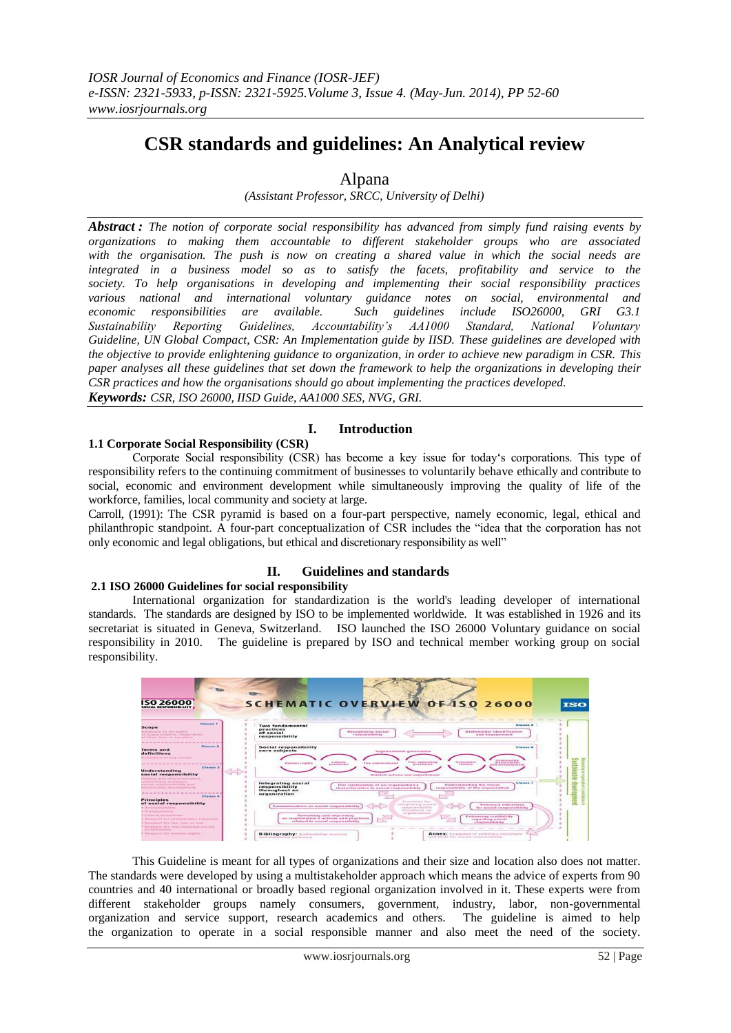# **CSR standards and guidelines: An Analytical review**

# Alpana

*(Assistant Professor, SRCC, University of Delhi)*

*Abstract : The notion of corporate social responsibility has advanced from simply fund raising events by organizations to making them accountable to different stakeholder groups who are associated with the organisation. The push is now on creating a shared value in which the social needs are integrated in a business model so as to satisfy the facets, profitability and service to the society. To help organisations in developing and implementing their social responsibility practices various national and international voluntary guidance notes on social, environmental and economic responsibilities are available. Such guidelines include ISO26000, GRI G3.1 Sustainability Reporting Guidelines, Accountability's AA1000 Standard, National Voluntary Guideline, UN Global Compact, CSR: An Implementation guide by IISD. These guidelines are developed with the objective to provide enlightening guidance to organization, in order to achieve new paradigm in CSR. This paper analyses all these guidelines that set down the framework to help the organizations in developing their CSR practices and how the organisations should go about implementing the practices developed. Keywords: CSR, ISO 26000, IISD Guide, AA1000 SES, NVG, GRI.*

**I. Introduction**

#### **1.1 Corporate Social Responsibility (CSR)**

Corporate Social responsibility (CSR) has become a key issue for today"s corporations. This type of responsibility refers to the continuing commitment of businesses to voluntarily behave ethically and contribute to social, economic and environment development while simultaneously improving the quality of life of the workforce, families, local community and society at large.

Carroll, (1991): The CSR pyramid is based on a four-part perspective, namely economic, legal, ethical and philanthropic standpoint. A four-part conceptualization of CSR includes the "idea that the corporation has not only economic and legal obligations, but ethical and discretionary responsibility as well"

# **II. Guidelines and standards**

### **2.1 ISO 26000 Guidelines for social responsibility**

International organization for standardization is the world's leading developer of international standards. The standards are designed by ISO to be implemented worldwide. It was established in 1926 and its secretariat is situated in Geneva, Switzerland. ISO launched the ISO 26000 Voluntary guidance on social responsibility in 2010. The guideline is prepared by ISO and technical member working group on social responsibility.

| <b>ISO 26000</b><br>SOCIAL RESPONSIBILITY                                                                                                                                                                                                                        | <b>SCHEMATIC OVERVIEW OF ISO 26000</b>                                                                                                                                                                                                                                                                                                                                                               | ISO                                                   |
|------------------------------------------------------------------------------------------------------------------------------------------------------------------------------------------------------------------------------------------------------------------|------------------------------------------------------------------------------------------------------------------------------------------------------------------------------------------------------------------------------------------------------------------------------------------------------------------------------------------------------------------------------------------------------|-------------------------------------------------------|
| Cheven 1<br>Scope<br>Guardiatecar to all tutters.<br>af acqueilisme. Amontantine be<br>of them asserted throughous                                                                                                                                               | <b>Two fundamental</b><br>practices<br>Stakeholder identification<br><b>Becognizing social</b><br>of social<br>responsibility<br>and empagement.<br>responsibility                                                                                                                                                                                                                                   | Clause 5                                              |
| Classen 2<br>Terms and<br>definitions<br>Deltasitions of here facinin<br><b>Clause 3</b><br>Understanding                                                                                                                                                        | Social responsibility<br>core subjects<br>Origanizational growination<br><b>Figure - complete of Expans</b><br>Consumer<br>5. Adhesia<br><b><i>PECAR CONTRACTOR IN THE</i></b><br><b>Marmond rogfstd</b><br>The enutronment<br><b><i>PELACTICAR</i></b><br><b>FOR ONE FORTIBLE</b><br><b><i>AMMING</i></b><br>area monotoreants best                                                                 | Classe 6<br>Sustaina                                  |
| social responsibility<br>Hostory and wharacteristics.<br>and at Chierano builty. New Year inserts.<br>AbertaX enveryors adjusting street.<br>www.tech.com/com/bidual-uniformal-entropy.com/com/bi-<br>Chairman di<br><b>Principles</b>                           | metaled actions and constitutions.<br>Integrating social<br>Understanding the secial<br>The relationship of an organization's<br>responsibility<br>responsibility of the ocuanization<br>characteristics to social responsibility<br>throughout an<br>organization<br><b>Blacksonicate Rain</b>                                                                                                      | $\equiv$<br>$\frac{1}{12}$<br>tevelopment<br>Clause 7 |
| of social responsibility<br>- Accommodatory<br>+ To a design or more p<br>- Kithircal invitatorings<br>- Hannovert for, which elected in the results.<br>- Banquest tur the rate of tax-<br>. His a power Toy, Johnsonshiers at more one.<br>out tractatewistant | este graterez nocesi<br>Voluntary initiatives:<br>Communication on applal responsibility<br>in an anapolo are profits when they<br>for accurative commonwealthe<br>thenustrough pos<br><b>INCREAST ATACHER</b><br>Baviowing and improving<br>Enhancing credibility<br>an organization's actions and practices<br>requesting social<br>related to social responsibility<br><b>CONTRACTOR IN EXTRA</b> |                                                       |
| . Haracener for themselv visites.                                                                                                                                                                                                                                | Annex: Examples of voluntary initiatives.<br><b>Bibliography: Authoritative assesses</b><br>and books for assistal componicities.<br>and aibhrionar middens                                                                                                                                                                                                                                          |                                                       |

This Guideline is meant for all types of organizations and their size and location also does not matter. The standards were developed by using a multistakeholder approach which means the advice of experts from 90 countries and 40 international or broadly based regional organization involved in it. These experts were from different stakeholder groups namely consumers, government, industry, labor, non-governmental organization and service support, research academics and others. The guideline is aimed to help the organization to operate in a social responsible manner and also meet the need of the society.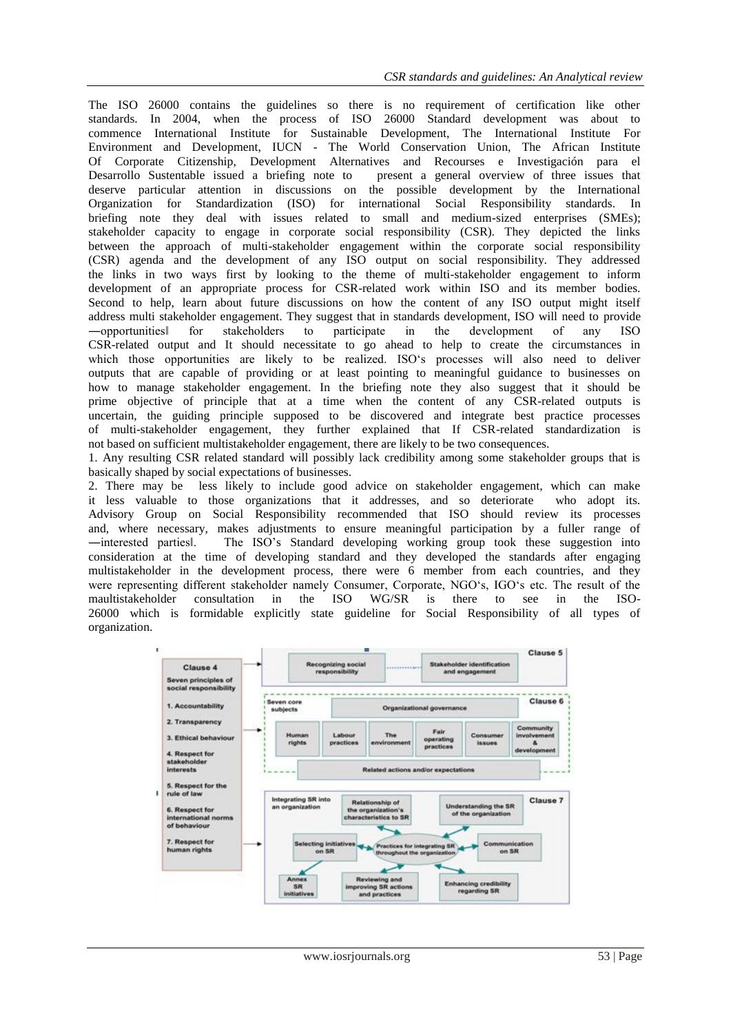The ISO 26000 contains the guidelines so there is no requirement of certification like other standards. In 2004, when the process of ISO 26000 Standard development was about to commence International Institute for Sustainable Development, The International Institute For Environment and Development, IUCN - The World Conservation Union, The African Institute Of Corporate Citizenship, Development Alternatives and Recourses e Investigación para el Desarrollo Sustentable issued a briefing note to present a general overview of three issues that deserve particular attention in discussions on the possible development by the International Organization for Standardization (ISO) for international Social Responsibility standards. In briefing note they deal with issues related to small and medium-sized enterprises (SMEs); stakeholder capacity to engage in corporate social responsibility (CSR). They depicted the links between the approach of multi-stakeholder engagement within the corporate social responsibility (CSR) agenda and the development of any ISO output on social responsibility. They addressed the links in two ways first by looking to the theme of multi-stakeholder engagement to inform development of an appropriate process for CSR-related work within ISO and its member bodies. Second to help, learn about future discussions on how the content of any ISO output might itself address multi stakeholder engagement. They suggest that in standards development, ISO will need to provide ―opportunities‖ for stakeholders to participate in the development of any ISO CSR-related output and It should necessitate to go ahead to help to create the circumstances in which those opportunities are likely to be realized. ISO's processes will also need to deliver outputs that are capable of providing or at least pointing to meaningful guidance to businesses on how to manage stakeholder engagement. In the briefing note they also suggest that it should be prime objective of principle that at a time when the content of any CSR-related outputs is uncertain, the guiding principle supposed to be discovered and integrate best practice processes of multi-stakeholder engagement, they further explained that If CSR-related standardization is not based on sufficient multistakeholder engagement, there are likely to be two consequences.

1. Any resulting CSR related standard will possibly lack credibility among some stakeholder groups that is basically shaped by social expectations of businesses.

2. There may be less likely to include good advice on stakeholder engagement, which can make it less valuable to those organizations that it addresses, and so deteriorate who adopt its. Advisory Group on Social Responsibility recommended that ISO should review its processes and, where necessary, makes adjustments to ensure meaningful participation by a fuller range of ―interested parties‖. The ISO"s Standard developing working group took these suggestion into consideration at the time of developing standard and they developed the standards after engaging multistakeholder in the development process, there were 6 member from each countries, and they were representing different stakeholder namely Consumer, Corporate, NGO"s, IGO"s etc. The result of the maultistakeholder consultation in the ISO WG/SR is there to see in the ISO-26000 which is formidable explicitly state guideline for Social Responsibility of all types of organization.

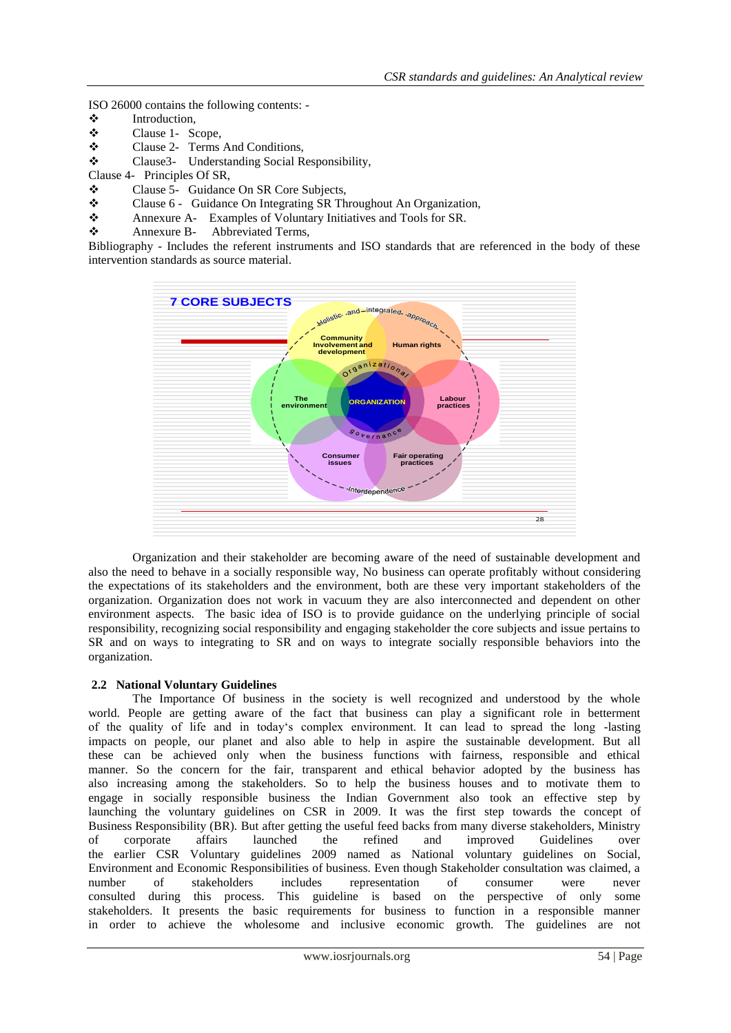ISO 26000 contains the following contents: -

- $\begin{array}{cc}\n\bullet \\
\bullet \\
\bullet\n\end{array}$  Introduction,<br>
Clause 1- So
- Clause 1- Scope,
- Clause 2- Terms And Conditions,
- Clause3- Understanding Social Responsibility,
- Clause 4- Principles Of SR,
- Clause 5- Guidance On SR Core Subjects,
- Clause 6 Guidance On Integrating SR Throughout An Organization,
- Annexure A- Examples of Voluntary Initiatives and Tools for SR.
- \* Annexure B- Abbreviated Terms,

Bibliography - Includes the referent instruments and ISO standards that are referenced in the body of these intervention standards as source material.



Organization and their stakeholder are becoming aware of the need of sustainable development and also the need to behave in a socially responsible way, No business can operate profitably without considering the expectations of its stakeholders and the environment, both are these very important stakeholders of the organization. Organization does not work in vacuum they are also interconnected and dependent on other environment aspects. The basic idea of ISO is to provide guidance on the underlying principle of social responsibility, recognizing social responsibility and engaging stakeholder the core subjects and issue pertains to SR and on ways to integrating to SR and on ways to integrate socially responsible behaviors into the organization.

#### **2.2 National Voluntary Guidelines**

The Importance Of business in the society is well recognized and understood by the whole world. People are getting aware of the fact that business can play a significant role in betterment of the quality of life and in today"s complex environment. It can lead to spread the long -lasting impacts on people, our planet and also able to help in aspire the sustainable development. But all these can be achieved only when the business functions with fairness, responsible and ethical manner. So the concern for the fair, transparent and ethical behavior adopted by the business has also increasing among the stakeholders. So to help the business houses and to motivate them to engage in socially responsible business the Indian Government also took an effective step by launching the voluntary guidelines on CSR in 2009. It was the first step towards the concept of Business Responsibility (BR). But after getting the useful feed backs from many diverse stakeholders, Ministry of corporate affairs launched the refined and improved Guidelines over the earlier CSR Voluntary guidelines 2009 named as National voluntary guidelines on Social, Environment and Economic Responsibilities of business. Even though Stakeholder consultation was claimed, a number of stakeholders includes representation of consumer were never consulted during this process. This guideline is based on the perspective of only some stakeholders. It presents the basic requirements for business to function in a responsible manner in order to achieve the wholesome and inclusive economic growth. The guidelines are not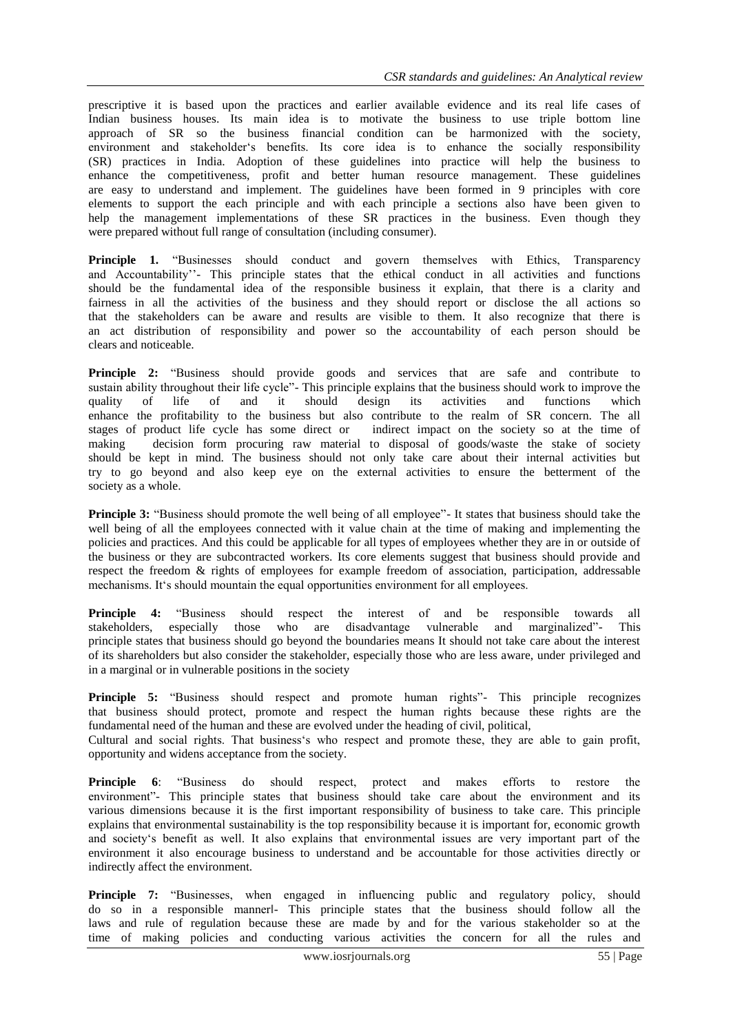prescriptive it is based upon the practices and earlier available evidence and its real life cases of Indian business houses. Its main idea is to motivate the business to use triple bottom line approach of SR so the business financial condition can be harmonized with the society, environment and stakeholder"s benefits. Its core idea is to enhance the socially responsibility (SR) practices in India. Adoption of these guidelines into practice will help the business to enhance the competitiveness, profit and better human resource management. These guidelines are easy to understand and implement. The guidelines have been formed in 9 principles with core elements to support the each principle and with each principle a sections also have been given to help the management implementations of these SR practices in the business. Even though they were prepared without full range of consultation (including consumer).

**Principle 1.** "Businesses should conduct and govern themselves with Ethics, Transparency and Accountability"- This principle states that the ethical conduct in all activities and functions should be the fundamental idea of the responsible business it explain, that there is a clarity and fairness in all the activities of the business and they should report or disclose the all actions so that the stakeholders can be aware and results are visible to them. It also recognize that there is an act distribution of responsibility and power so the accountability of each person should be clears and noticeable.

**Principle 2:** "Business should provide goods and services that are safe and contribute to sustain ability throughout their life cycle"- This principle explains that the business should work to improve the quality of life of and it should design its activities and functions which quality of life of and it should design its activities and functions which enhance the profitability to the business but also contribute to the realm of SR concern. The all stages of product life cycle has some direct or indirect impact on the society so at the time of making decision form procuring raw material to disposal of goods/waste the stake of society should be kept in mind. The business should not only take care about their internal activities but try to go beyond and also keep eye on the external activities to ensure the betterment of the society as a whole.

**Principle 3:** "Business should promote the well being of all employee"- It states that business should take the well being of all the employees connected with it value chain at the time of making and implementing the policies and practices. And this could be applicable for all types of employees whether they are in or outside of the business or they are subcontracted workers. Its core elements suggest that business should provide and respect the freedom & rights of employees for example freedom of association, participation, addressable mechanisms. It's should mountain the equal opportunities environment for all employees.

**Principle 4:** "Business should respect the interest of and be responsible towards all stakeholders, especially those who are disadvantage vulnerable and marginalized"- This principle states that business should go beyond the boundaries means It should not take care about the interest of its shareholders but also consider the stakeholder, especially those who are less aware, under privileged and in a marginal or in vulnerable positions in the society

**Principle 5:** "Business should respect and promote human rights"- This principle recognizes that business should protect, promote and respect the human rights because these rights are the fundamental need of the human and these are evolved under the heading of civil, political, Cultural and social rights. That business"s who respect and promote these, they are able to gain profit,

opportunity and widens acceptance from the society.

**Principle 6**: "Business do should respect, protect and makes efforts to restore the environment"- This principle states that business should take care about the environment and its various dimensions because it is the first important responsibility of business to take care. This principle explains that environmental sustainability is the top responsibility because it is important for, economic growth and society"s benefit as well. It also explains that environmental issues are very important part of the environment it also encourage business to understand and be accountable for those activities directly or indirectly affect the environment.

Principle 7: "Businesses, when engaged in influencing public and regulatory policy, should do so in a responsible manner‖- This principle states that the business should follow all the laws and rule of regulation because these are made by and for the various stakeholder so at the time of making policies and conducting various activities the concern for all the rules and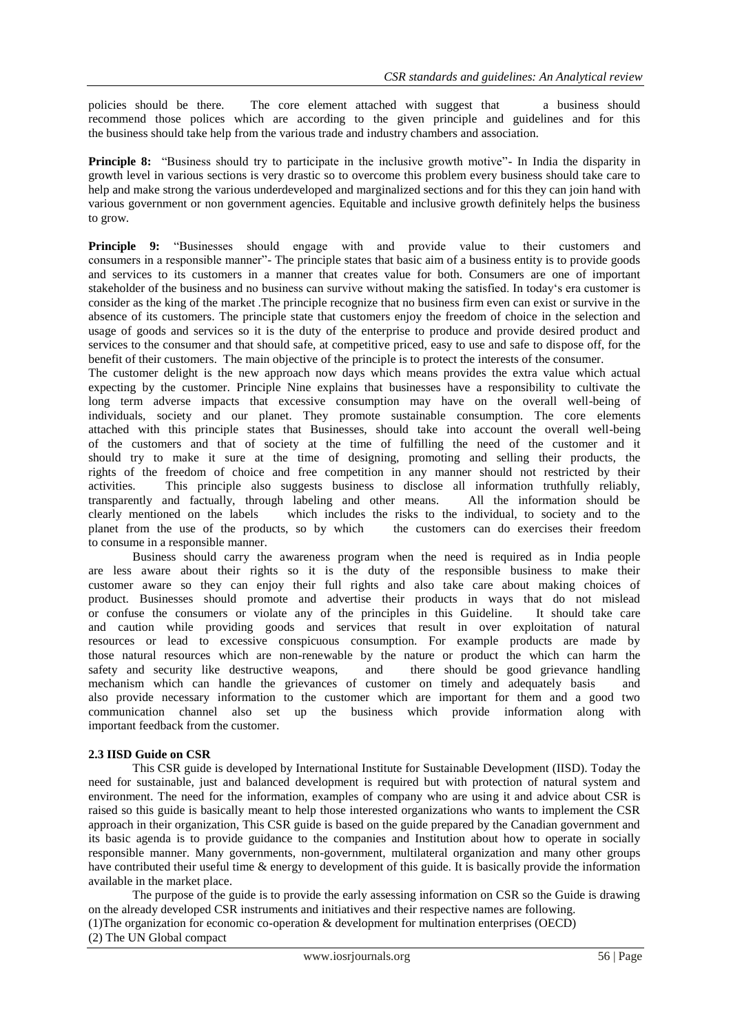policies should be there. The core element attached with suggest that a business should recommend those polices which are according to the given principle and guidelines and for this the business should take help from the various trade and industry chambers and association.

**Principle 8:** "Business should try to participate in the inclusive growth motive"- In India the disparity in growth level in various sections is very drastic so to overcome this problem every business should take care to help and make strong the various underdeveloped and marginalized sections and for this they can join hand with various government or non government agencies. Equitable and inclusive growth definitely helps the business to grow.

**Principle 9:** "Businesses should engage with and provide value to their customers and consumers in a responsible manner"- The principle states that basic aim of a business entity is to provide goods and services to its customers in a manner that creates value for both. Consumers are one of important stakeholder of the business and no business can survive without making the satisfied. In today"s era customer is consider as the king of the market .The principle recognize that no business firm even can exist or survive in the absence of its customers. The principle state that customers enjoy the freedom of choice in the selection and usage of goods and services so it is the duty of the enterprise to produce and provide desired product and services to the consumer and that should safe, at competitive priced, easy to use and safe to dispose off, for the benefit of their customers. The main objective of the principle is to protect the interests of the consumer.

The customer delight is the new approach now days which means provides the extra value which actual expecting by the customer. Principle Nine explains that businesses have a responsibility to cultivate the long term adverse impacts that excessive consumption may have on the overall well-being of individuals, society and our planet. They promote sustainable consumption. The core elements attached with this principle states that Businesses, should take into account the overall well-being of the customers and that of society at the time of fulfilling the need of the customer and it should try to make it sure at the time of designing, promoting and selling their products, the rights of the freedom of choice and free competition in any manner should not restricted by their activities. This principle also suggests business to disclose all information truthfully reliably, transparently and factually, through labeling and other means. All the information should be clearly mentioned on the labels which includes the risks to the individual, to society and to the planet from the use of the products, so by which the customers can do exercises their freedom to consume in a responsible manner.

Business should carry the awareness program when the need is required as in India people are less aware about their rights so it is the duty of the responsible business to make their customer aware so they can enjoy their full rights and also take care about making choices of product. Businesses should promote and advertise their products in ways that do not mislead or confuse the consumers or violate any of the principles in this Guideline. It should take care and caution while providing goods and services that result in over exploitation of natural resources or lead to excessive conspicuous consumption. For example products are made by those natural resources which are non-renewable by the nature or product the which can harm the safety and security like destructive weapons, and there should be good grievance handling mechanism which can handle the grievances of customer on timely and adequately basis and also provide necessary information to the customer which are important for them and a good two communication channel also set up the business which provide information along with important feedback from the customer.

# **2.3 IISD Guide on CSR**

This CSR guide is developed by International Institute for Sustainable Development (IISD). Today the need for sustainable, just and balanced development is required but with protection of natural system and environment. The need for the information, examples of company who are using it and advice about CSR is raised so this guide is basically meant to help those interested organizations who wants to implement the CSR approach in their organization, This CSR guide is based on the guide prepared by the Canadian government and its basic agenda is to provide guidance to the companies and Institution about how to operate in socially responsible manner. Many governments, non-government, multilateral organization and many other groups have contributed their useful time & energy to development of this guide. It is basically provide the information available in the market place.

The purpose of the guide is to provide the early assessing information on CSR so the Guide is drawing on the already developed CSR instruments and initiatives and their respective names are following. (1)The organization for economic co-operation & development for multination enterprises (OECD) (2) The UN Global compact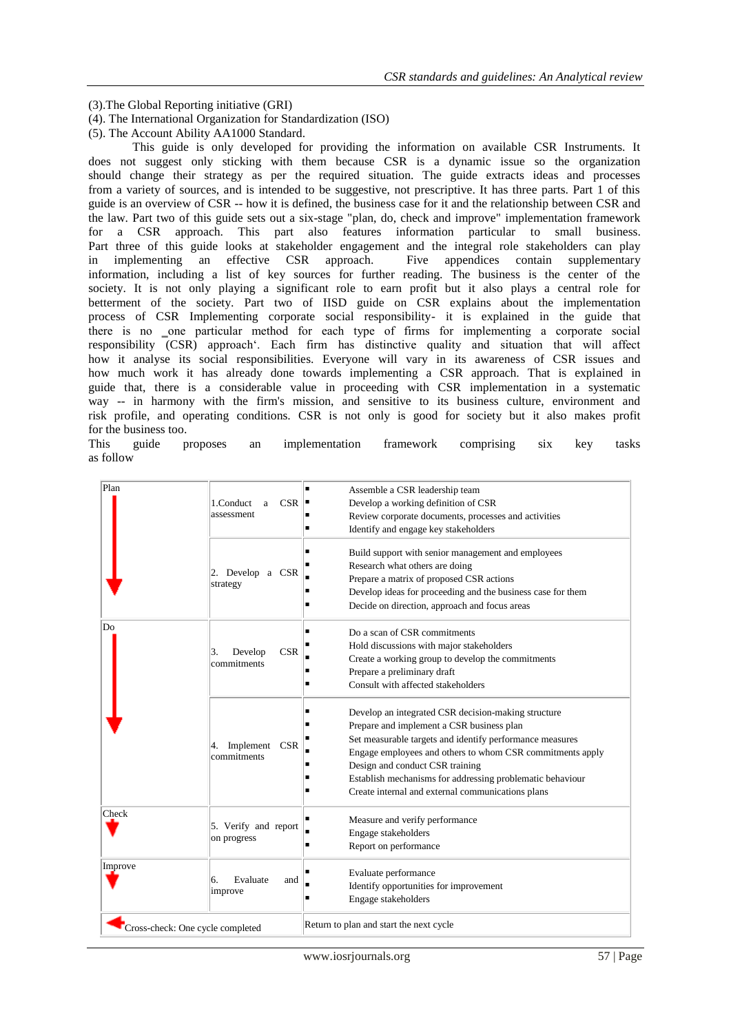(3).The Global Reporting initiative (GRI)

(4). The International Organization for Standardization (ISO)

(5). The Account Ability AA1000 Standard.

This guide is only developed for providing the information on available CSR Instruments. It does not suggest only sticking with them because CSR is a dynamic issue so the organization should change their strategy as per the required situation. The guide extracts ideas and processes from a variety of sources, and is intended to be suggestive, not prescriptive. It has three parts. Part 1 of this guide is an overview of CSR -- how it is defined, the business case for it and the relationship between CSR and the law. Part two of this guide sets out a six-stage "plan, do, check and improve" implementation framework for a CSR approach. This part also features information particular to small business. Part three of this guide looks at stakeholder engagement and the integral role stakeholders can play in implementing an effective CSR approach. Five appendices contain supplementary information, including a list of key sources for further reading. The business is the center of the society. It is not only playing a significant role to earn profit but it also plays a central role for betterment of the society. Part two of IISD guide on CSR explains about the implementation process of CSR Implementing corporate social responsibility- it is explained in the guide that there is no one particular method for each type of firms for implementing a corporate social responsibility (CSR) approach. Each firm has distinctive quality and situation that will affect how it analyse its social responsibilities. Everyone will vary in its awareness of CSR issues and how much work it has already done towards implementing a CSR approach. That is explained in guide that, there is a considerable value in proceeding with CSR implementation in a systematic way -- in harmony with the firm's mission, and sensitive to its business culture, environment and risk profile, and operating conditions. CSR is not only is good for society but it also makes profit for the business too.

This guide proposes an implementation framework comprising six key tasks as follow

| Plan                             | 1.Conduct<br>CSR<br>a<br>assessment        | Assemble a CSR leadership team<br>٠                                                               |
|----------------------------------|--------------------------------------------|---------------------------------------------------------------------------------------------------|
|                                  |                                            | Develop a working definition of CSR                                                               |
|                                  |                                            | Review corporate documents, processes and activities<br>Identify and engage key stakeholders<br>п |
|                                  |                                            |                                                                                                   |
|                                  | 2. Develop a CSR<br>strategy               | Build support with senior management and employees                                                |
|                                  |                                            | Research what others are doing                                                                    |
|                                  |                                            | Prepare a matrix of proposed CSR actions                                                          |
|                                  |                                            | Develop ideas for proceeding and the business case for them                                       |
|                                  |                                            | Decide on direction, approach and focus areas                                                     |
| Do                               | <b>CSR</b><br>Develop<br>3.<br>commitments | Do a scan of CSR commitments                                                                      |
|                                  |                                            | Hold discussions with major stakeholders                                                          |
|                                  |                                            | Create a working group to develop the commitments                                                 |
|                                  |                                            | Prepare a preliminary draft                                                                       |
|                                  |                                            | Consult with affected stakeholders<br>٠                                                           |
|                                  | Implement CSR<br>4.<br>commitments         | Develop an integrated CSR decision-making structure                                               |
|                                  |                                            | Prepare and implement a CSR business plan                                                         |
|                                  |                                            | Set measurable targets and identify performance measures                                          |
|                                  |                                            | Engage employees and others to whom CSR commitments apply                                         |
|                                  |                                            | Design and conduct CSR training                                                                   |
|                                  |                                            | Establish mechanisms for addressing problematic behaviour                                         |
|                                  |                                            | Create internal and external communications plans                                                 |
| Check                            | 5. Verify and report<br>on progress        | Measure and verify performance                                                                    |
|                                  |                                            | Engage stakeholders                                                                               |
|                                  |                                            | п<br>Report on performance                                                                        |
| Improve                          | Evaluate<br>6.<br>and<br>improve           | Evaluate performance                                                                              |
|                                  |                                            | Identify opportunities for improvement                                                            |
|                                  |                                            | Engage stakeholders                                                                               |
| Cross-check: One cycle completed |                                            | Return to plan and start the next cycle                                                           |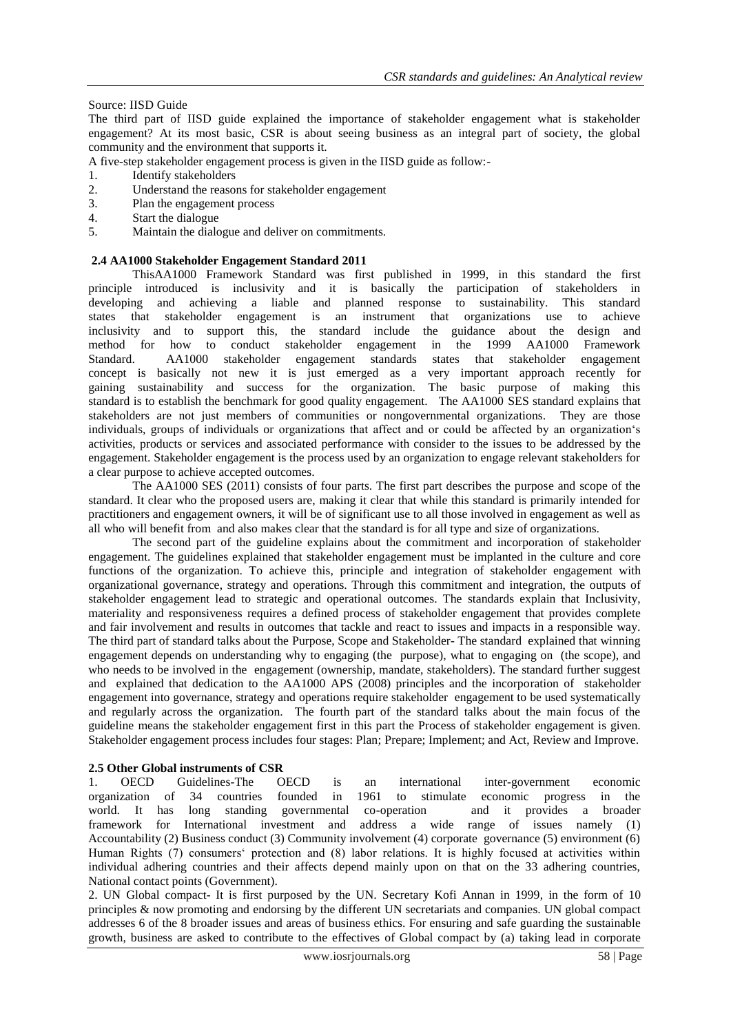## Source: IISD Guide

The third part of IISD guide explained the importance of stakeholder engagement what is stakeholder engagement? At its most basic, CSR is about seeing business as an integral part of society, the global community and the environment that supports it.

- A five-step stakeholder engagement process is given in the IISD guide as follow:-
- 1. Identify stakeholders
- 2. Understand the reasons for stakeholder engagement
- 3. Plan the engagement process
- 4. Start the dialogue
- 5. Maintain the dialogue and deliver on commitments.

#### **2.4 AA1000 Stakeholder Engagement Standard 2011**

ThisAA1000 Framework Standard was first published in 1999, in this standard the first principle introduced is inclusivity and it is basically the participation of stakeholders in developing and achieving a liable and planned response to sustainability. This standard states that stakeholder engagement is an instrument that organizations use to achieve inclusivity and to support this, the standard include the guidance about the design and method for how to conduct stakeholder engagement in the 1999 AA1000 Framework Standard. AA1000 stakeholder engagement standards states that stakeholder engagement concept is basically not new it is just emerged as a very important approach recently for gaining sustainability and success for the organization. The basic purpose of making this standard is to establish the benchmark for good quality engagement. The AA1000 SES standard explains that stakeholders are not just members of communities or nongovernmental organizations. They are those individuals, groups of individuals or organizations that affect and or could be affected by an organization"s activities, products or services and associated performance with consider to the issues to be addressed by the engagement. Stakeholder engagement is the process used by an organization to engage relevant stakeholders for a clear purpose to achieve accepted outcomes.

The AA1000 SES (2011) consists of four parts. The first part describes the purpose and scope of the standard. It clear who the proposed users are, making it clear that while this standard is primarily intended for practitioners and engagement owners, it will be of significant use to all those involved in engagement as well as all who will benefit from and also makes clear that the standard is for all type and size of organizations.

The second part of the guideline explains about the commitment and incorporation of stakeholder engagement. The guidelines explained that stakeholder engagement must be implanted in the culture and core functions of the organization. To achieve this, principle and integration of stakeholder engagement with organizational governance, strategy and operations. Through this commitment and integration, the outputs of stakeholder engagement lead to strategic and operational outcomes. The standards explain that Inclusivity, materiality and responsiveness requires a defined process of stakeholder engagement that provides complete and fair involvement and results in outcomes that tackle and react to issues and impacts in a responsible way. The third part of standard talks about the Purpose, Scope and Stakeholder- The standard explained that winning engagement depends on understanding why to engaging (the purpose), what to engaging on (the scope), and who needs to be involved in the engagement (ownership, mandate, stakeholders). The standard further suggest and explained that dedication to the AA1000 APS (2008) principles and the incorporation of stakeholder engagement into governance, strategy and operations require stakeholder engagement to be used systematically and regularly across the organization. The fourth part of the standard talks about the main focus of the guideline means the stakeholder engagement first in this part the Process of stakeholder engagement is given. Stakeholder engagement process includes four stages: Plan; Prepare; Implement; and Act, Review and Improve.

#### **2.5 Other Global instruments of CSR**

1. OECD Guidelines-The OECD is an international inter-government economic organization of 34 countries founded in 1961 to stimulate economic progress in the world. It has long standing governmental co-operation and it provides a broader framework for International investment and address a wide range of issues namely (1) Accountability (2) Business conduct (3) Community involvement (4) corporate governance (5) environment (6) Human Rights (7) consumers" protection and (8) labor relations. It is highly focused at activities within individual adhering countries and their affects depend mainly upon on that on the 33 adhering countries, National contact points (Government).

2. UN Global compact- It is first purposed by the UN. Secretary Kofi Annan in 1999, in the form of 10 principles & now promoting and endorsing by the different UN secretariats and companies. UN global compact addresses 6 of the 8 broader issues and areas of business ethics. For ensuring and safe guarding the sustainable growth, business are asked to contribute to the effectives of Global compact by (a) taking lead in corporate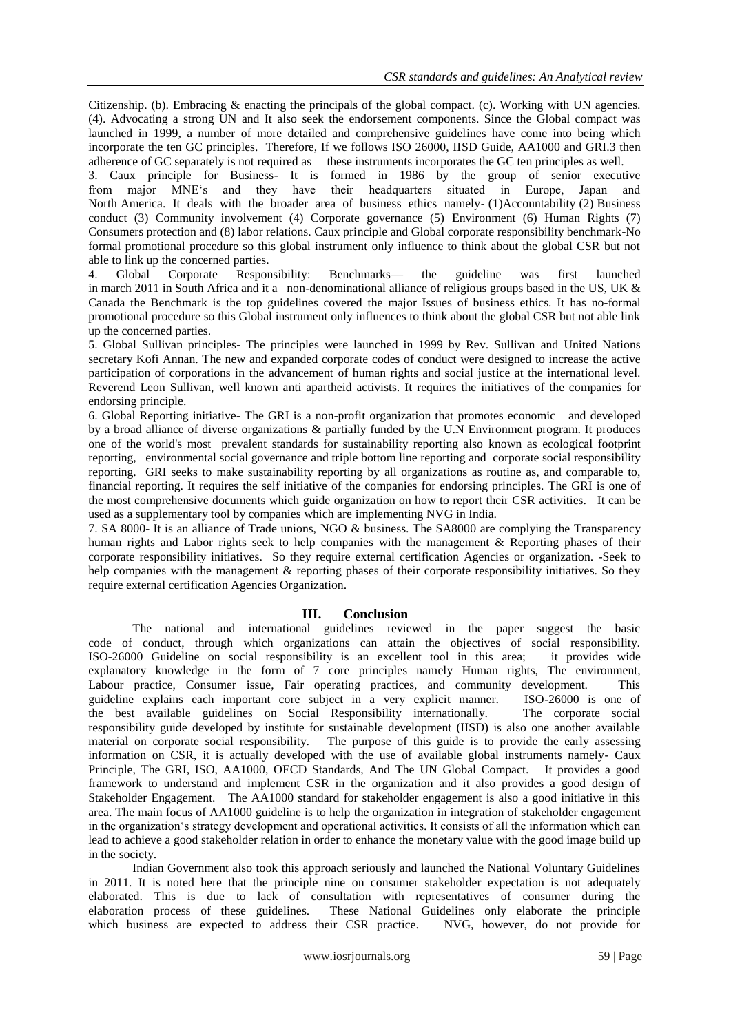Citizenship. (b). Embracing & enacting the principals of the global compact. (c). Working with UN agencies. (4). Advocating a strong UN and It also seek the endorsement components. Since the Global compact was launched in 1999, a number of more detailed and comprehensive guidelines have come into being which incorporate the ten GC principles. Therefore, If we follows ISO 26000, IISD Guide, AA1000 and GRI.3 then adherence of GC separately is not required as these instruments incorporates the GC ten principles as well.

3. Caux principle for Business- It is formed in 1986 by the group of senior executive from major MNE"s and they have their headquarters situated in Europe, Japan and North America. It deals with the broader area of business ethics namely- (1)Accountability (2) Business conduct (3) Community involvement (4) Corporate governance (5) Environment (6) Human Rights (7) Consumers protection and (8) labor relations. Caux principle and Global corporate responsibility benchmark-No formal promotional procedure so this global instrument only influence to think about the global CSR but not able to link up the concerned parties.

4. Global Corporate Responsibility: Benchmarks— the guideline was first launched in march 2011 in South Africa and it a non-denominational alliance of religious groups based in the US, UK & Canada the Benchmark is the top guidelines covered the major Issues of business ethics. It has no-formal promotional procedure so this Global instrument only influences to think about the global CSR but not able link up the concerned parties.

5. Global Sullivan principles- The principles were launched in 1999 by Rev. Sullivan and United Nations secretary Kofi Annan. The new and expanded corporate codes of conduct were designed to increase the active participation of corporations in the advancement of human rights and social justice at the international level. Reverend Leon Sullivan, well known anti apartheid activists. It requires the initiatives of the companies for endorsing principle.

6. Global Reporting initiative- The GRI is a non-profit organization that promotes economic and developed by a broad alliance of diverse organizations & partially funded by the U.N Environment program. It produces one of the world's most prevalent standards for sustainability reporting also known as ecological footprint reporting, environmental social governance and triple bottom line reporting and corporate social responsibility reporting. GRI seeks to make sustainability reporting by all organizations as routine as, and comparable to, financial reporting. It requires the self initiative of the companies for endorsing principles. The GRI is one of the most comprehensive documents which guide organization on how to report their CSR activities. It can be used as a supplementary tool by companies which are implementing NVG in India.

7. SA 8000- It is an alliance of Trade unions, NGO & business. The SA8000 are complying the Transparency human rights and Labor rights seek to help companies with the management & Reporting phases of their corporate responsibility initiatives. So they require external certification Agencies or organization. -Seek to help companies with the management & reporting phases of their corporate responsibility initiatives. So they require external certification Agencies Organization.

# **III. Conclusion**

The national and international guidelines reviewed in the paper suggest the basic code of conduct, through which organizations can attain the objectives of social responsibility. ISO-26000 Guideline on social responsibility is an excellent tool in this area; it provides wide explanatory knowledge in the form of 7 core principles namely Human rights, The environment, Labour practice, Consumer issue, Fair operating practices, and community development. This guideline explains each important core subject in a very explicit manner. ISO-26000 is one of the best available guidelines on Social Responsibility internationally. The corporate social the best available guidelines on Social Responsibility internationally. responsibility guide developed by institute for sustainable development (IISD) is also one another available material on corporate social responsibility. The purpose of this guide is to provide the early assessing information on CSR, it is actually developed with the use of available global instruments namely- Caux Principle, The GRI, ISO, AA1000, OECD Standards, And The UN Global Compact. It provides a good framework to understand and implement CSR in the organization and it also provides a good design of Stakeholder Engagement. The AA1000 standard for stakeholder engagement is also a good initiative in this area. The main focus of AA1000 guideline is to help the organization in integration of stakeholder engagement in the organization"s strategy development and operational activities. It consists of all the information which can lead to achieve a good stakeholder relation in order to enhance the monetary value with the good image build up in the society.

Indian Government also took this approach seriously and launched the National Voluntary Guidelines in 2011. It is noted here that the principle nine on consumer stakeholder expectation is not adequately elaborated. This is due to lack of consultation with representatives of consumer during the elaboration process of these guidelines. These National Guidelines only elaborate the principle which business are expected to address their CSR practice. NVG, however, do not provide for